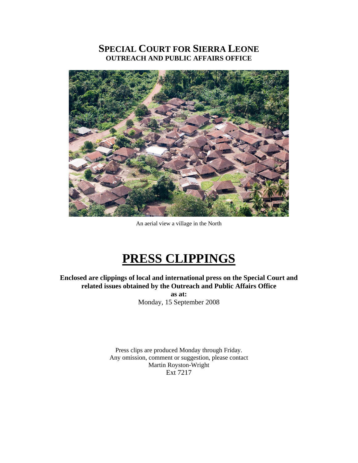## **SPECIAL COURT FOR SIERRA LEONE OUTREACH AND PUBLIC AFFAIRS OFFICE**



An aerial view a village in the North

# **PRESS CLIPPINGS**

**Enclosed are clippings of local and international press on the Special Court and related issues obtained by the Outreach and Public Affairs Office as at:** 

Monday, 15 September 2008

Press clips are produced Monday through Friday. Any omission, comment or suggestion, please contact Martin Royston-Wright Ext 7217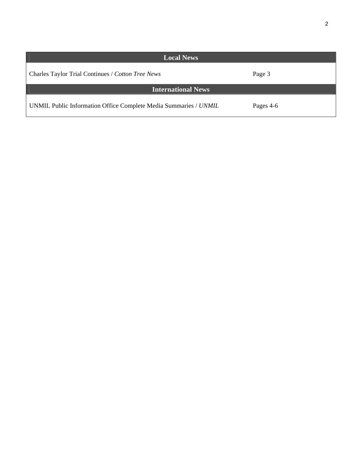| <b>Local News</b>                                                |           |
|------------------------------------------------------------------|-----------|
| Charles Taylor Trial Continues / Cotton Tree News                | Page 3    |
| <b>International News</b>                                        |           |
| UNMIL Public Information Office Complete Media Summaries / UNMIL | Pages 4-6 |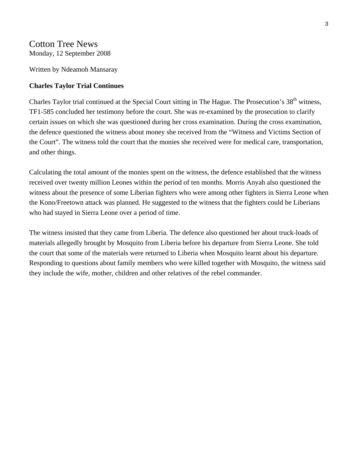## Cotton Tree News Monday, 12 September 2008

Written by Ndeamoh Mansaray

## **Charles Taylor Trial Continues**

Charles Taylor trial continued at the Special Court sitting in The Hague. The Prosecution's 38<sup>th</sup> witness, TF1-585 concluded her testimony before the court. She was re-examined by the prosecution to clarify certain issues on which she was questioned during her cross examination. During the cross examination, the defence questioned the witness about money she received from the "Witness and Victims Section of the Court". The witness told the court that the monies she received were for medical care, transportation, and other things.

Calculating the total amount of the monies spent on the witness, the defence established that the witness received over twenty million Leones within the period of ten months. Morris Anyah also questioned the witness about the presence of some Liberian fighters who were among other fighters in Sierra Leone when the Kono/Freetown attack was planned. He suggested to the witness that the fighters could be Liberians who had stayed in Sierra Leone over a period of time.

The witness insisted that they came from Liberia. The defence also questioned her about truck-loads of materials allegedly brought by Mosquito from Liberia before his departure from Sierra Leone. She told the court that some of the materials were returned to Liberia when Mosquito learnt about his departure. Responding to questions about family members who were killed together with Mosquito, the witness said they include the wife, mother, children and other relatives of the rebel commander.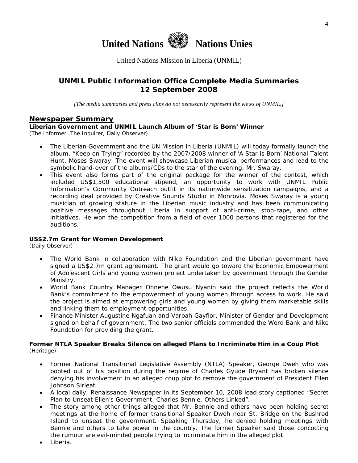

United Nations Mission in Liberia (UNMIL)

## **UNMIL Public Information Office Complete Media Summaries 12 September 2008**

*[The media summaries and press clips do not necessarily represent the views of UNMIL.]* 

## **Newspaper Summary**

## **Liberian Government and UNMIL Launch Album of 'Star is Born' Winner**

(The Informer ,The Inquirer, Daily Observer)

- The Liberian Government and the UN Mission in Liberia (UNMIL) will today formally launch the album, "Keep on Trying" recorded by the 2007/2008 winner of 'A Star is Born' National Talent Hunt, Moses Swaray. The event will showcase Liberian musical performances and lead to the symbolic hand-over of the albums/CDs to the star of the evening, Mr. Swaray.
- This event also forms part of the original package for the winner of the contest, which included US\$1,500 educational stipend, an opportunity to work with UNMIL Public Information's Community Outreach outfit in its nationwide sensitization campaigns, and a recording deal provided by Creative Sounds Studio in Monrovia. Moses Swaray is a young musician of growing stature in the Liberian music industry and has been communicating positive messages throughout Liberia in support of anti-crime, stop-rape, and other initiatives. He won the competition from a field of over 1000 persons that registered for the auditions.

## **US\$2.7m Grant for Women Development**

(Daily Observer)

- The World Bank in collaboration with Nike Foundation and the Liberian government have signed a US\$2.7m grant agreement. The grant would go toward the Economic Empowerment of Adolescent Girls and young women project undertaken by government through the Gender Ministry.
- World Bank Country Manager Ohnene Owusu Nyanin said the project reflects the World Bank's commitment to the empowerment of young women through access to work. He said the project is aimed at empowering girls and young women by giving them marketable skills and linking them to employment opportunities.
- Finance Minister Augustine Ngafuan and Varbah Gayflor, Minister of Gender and Development signed on behalf of government. The two senior officials commended the Word Bank and Nike Foundation for providing the grant.

#### **Former NTLA Speaker Breaks Silence on alleged Plans to Incriminate Him in a Coup Plot**  (Heritage)

- Former National Transitional Legislative Assembly (NTLA) Speaker, George Dweh who was booted out of his position during the regime of Charles Gyude Bryant has broken silence denying his involvement in an alleged coup plot to remove the government of President Ellen Johnson Sirleaf.
- A local daily, Renaissance Newspaper in its September 10, 2008 lead story captioned "Secret Plan to Unseat Ellen's Government, Charles Bennie, Others Linked".
- The story among other things alleged that Mr. Bennie and others have been holding secret meetings at the home of former transitional Speaker Dweh near St. Bridge on the Bushrod Island to unseat the government. Speaking Thursday, he denied holding meetings with Bennie and others to take power in the country. The former Speaker said those concocting the rumour are evil-minded people trying to incriminate him in the alleged plot.
- Liberia.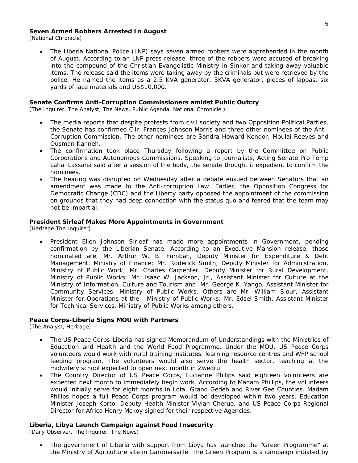#### **Seven Armed Robbers Arrested In August**

(National Chronicle)

• The Liberia National Police (LNP) says seven armed robbers were apprehended in the month of August. According to an LNP press release, three of the robbers were accused of breaking into the compound of the Christian Evangelistic Ministry in Sinkor and taking away valuable items. The release said the items were taking away by the criminals but were retrieved by the police. He named the items as a 2.5 KVA generator, 5KVA generator, pieces of lappas, six yards of lace materials and US\$10,000.

#### **Senate Confirms Anti-Corruption Commissioners amidst Public Outcry**

(The Inquirer, The Analyst, The News, Public Agenda, National Chronicle )

- The media reports that despite protests from civil society and two Opposition Political Parties, the Senate has confirmed Cllr. Frances Johnson Morris and three other nominees of the Anti-Corruption Commission. The other nominees are Sandra Howard-Kendor, Moulai Reeves and Ousman Kanneh.
- The confirmation took place Thursday following a report by the Committee on Public Corporations and Autonomous Commissions. Speaking to journalists, Acting Senate Pro Temp Lahai Lassana said after a session of the body, the senate thought it expedient to confirm the nominees.
- The hearing was disrupted on Wednesday after a debate ensued between Senators that an amendment was made to the Anti-corruption Law. Earlier, the Opposition Congress for Democratic Change (CDC) and the Liberty party opposed the appointment of the commission on grounds that they had deep connection with the status quo and feared that the team may not be impartial.

#### **President Sirleaf Makes More Appointments in Government**

(Heritage The Inquirer)

• President Ellen Johnson Sirleaf has made more appointments in Government, pending confirmation by the Liberian Senate. According to an Executive Mansion release, those nominated are, Mr. Arthur W. B. Fumbah, Deputy Minister for Expenditure & Debt Management, Ministry of Finance; Mr. Roderick Smith, Deputy Minister for Administration, Ministry of Public Work; Mr. Charles Carpenter, Deputy Minister for Rural Development, Ministry of Public Works; Mr. Isaac W. Jackson, Jr., Assistant Minister for Culture at the Ministry of Information, Culture and Tourism and Mr. George K. Yango, Assistant Minister for Community Services, Ministry of Public Works. Others are Mr. William Slour, Assistant Minister for Operations at the Ministry of Public Works; Mr. Edsel Smith, Assistant Minister for Technical Services, Ministry of Public Works among others.

#### **Peace Corps-Liberia Signs MOU with Partners**

(The Analyst, Heritage)

- The US Peace Corps-Liberia has signed Memorandum of Understandings with the Ministries of Education and Health and the World Food Programme. Under the MOU, US Peace Corps volunteers would work with rural training institutes, learning resource centres and WFP school feeding program. The volunteers would also serve the health sector, teaching at the midwifery school expected to open next month in Zwedru.
- The Country Director of US Peace Corps, Lucianne Philips said eighteen volunteers are expected next month to immediately begin work. According to Madam Phillips, the volunteers would initially serve for eight months in Lofa, Grand Gedeh and River Gee Counties. Madam Philips hopes a full Peace Corps program would be developed within two years. Education Minister Joseph Korto, Deputy Health Minister Vivian Cherue, and US Peace Corps Regional Director for Africa Henry Mckoy signed for their respective Agencies.

#### **Liberia, Libya Launch Campaign against Food Insecurity**

(Daily Observer, The Inquirer, The News)

• The government of Liberia with support from Libya has launched the "Green Programme" at the Ministry of Agriculture site in Gardnersville. The Green Program is a campaign initiated by